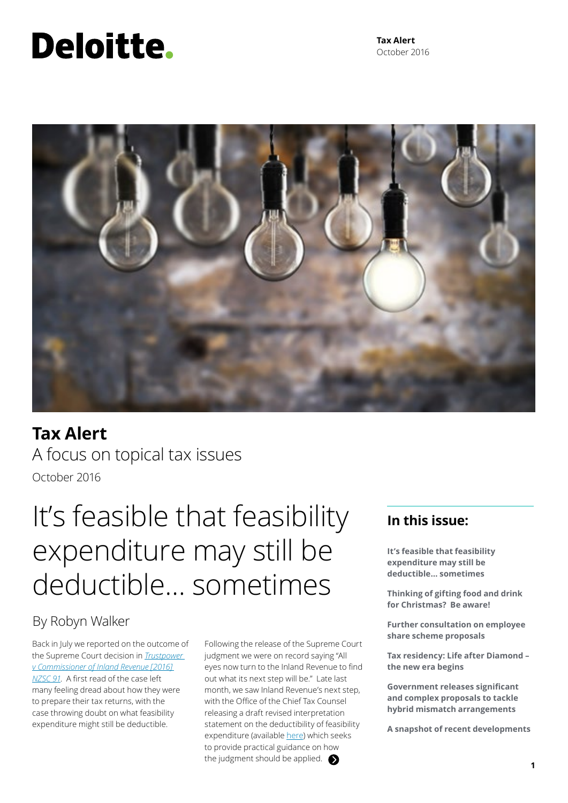# <span id="page-0-0"></span>Deloitte.

**Tax Alert** October 2016



### **Tax Alert** A focus on topical tax issues October 2016

## It's feasible that feasibility expenditure may still be deductible… sometimes

### By Robyn Walker

Back in July we reported on the outcome of the Supreme Court decision in *[Trustpower](https://www.courtsofnz.govt.nz/cases/trustpower-limited-v-commissioner-of-inland-revenue-1)  [v Commissioner of Inland Revenue \[2016\]](https://www.courtsofnz.govt.nz/cases/trustpower-limited-v-commissioner-of-inland-revenue-1)  [NZSC 91](https://www.courtsofnz.govt.nz/cases/trustpower-limited-v-commissioner-of-inland-revenue-1)*. A first read of the case left many feeling dread about how they were to prepare their tax returns, with the case throwing doubt on what feasibility expenditure might still be deductible.

Following the release of the Supreme Court judgment we were on record saying "All eyes now turn to the Inland Revenue to find out what its next step will be." Late last month, we saw Inland Revenue's next step, with the Office of the Chief Tax Counsel releasing a draft revised interpretation statement on the deductibility of feasibility expenditure (available [here\)](http://www2.deloitte.com/content/dam/Deloitte/nz/Documents/tax/Tax-alert/2016/feasibility-expenditure-draft-interpretation-statement.pdf) which seeks to provide practical guidance on how the judgment should be applied.  $\bullet$ 

### **In this issue:**

**It's feasible that feasibility expenditure may still be deductible… sometimes**

**Thinking of gifting food and drink for Christmas? Be aware!**

**Further consultation on employee share scheme proposals**

**Tax residency: Life after Diamond – the new era begins**

**Government releases significant and complex proposals to tackle hybrid mismatch arrangements**

**A snapshot of recent developments**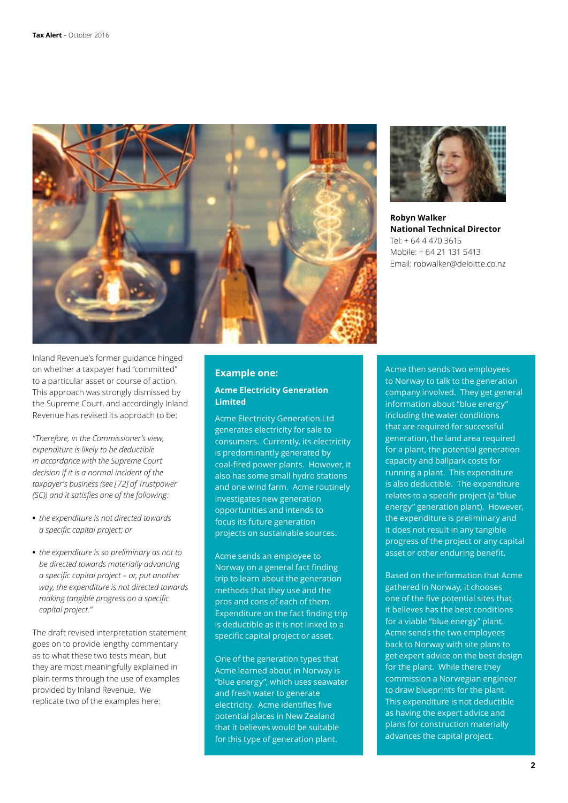



**Robyn Walker National Technical Director** Tel: + 64 4 470 3615 Mobile: + 64 21 131 5413 Email: robwalker@deloitte.co.nz

Inland Revenue's former guidance hinged on whether a taxpayer had "committed" to a particular asset or course of action. This approach was strongly dismissed by the Supreme Court, and accordingly Inland Revenue has revised its approach to be:

*"Therefore, in the Commissioner's view, expenditure is likely to be deductible in accordance with the Supreme Court decision if it is a normal incident of the taxpayer's business (see [72] of Trustpower (SC)) and it satisfies one of the following:*

- **•** *the expenditure is not directed towards a specific capital project; or*
- **•** *the expenditure is so preliminary as not to be directed towards materially advancing a specific capital project – or, put another way, the expenditure is not directed towards making tangible progress on a specific capital project."*

The draft revised interpretation statement goes on to provide lengthy commentary as to what these two tests mean, but they are most meaningfully explained in plain terms through the use of examples provided by Inland Revenue. We replicate two of the examples here:

### **Example one:**

#### **Acme Electricity Generation Limited**

Acme Electricity Generation Ltd generates electricity for sale to consumers. Currently, its electricity is predominantly generated by coal-fired power plants. However, it also has some small hydro stations and one wind farm. Acme routinely investigates new generation opportunities and intends to focus its future generation projects on sustainable sources.

Acme sends an employee to Norway on a general fact finding trip to learn about the generation methods that they use and the pros and cons of each of them. Expenditure on the fact finding trip is deductible as it is not linked to a specific capital project or asset.

One of the generation types that Acme learned about in Norway is "blue energy", which uses seawater and fresh water to generate electricity. Acme identifies five potential places in New Zealand that it believes would be suitable for this type of generation plant.

Acme then sends two employees to Norway to talk to the generation company involved. They get general information about "blue energy" including the water conditions that are required for successful generation, the land area required for a plant, the potential generation capacity and ballpark costs for running a plant. This expenditure is also deductible. The expenditure relates to a specific project (a "blue energy" generation plant). However, the expenditure is preliminary and it does not result in any tangible progress of the project or any capital asset or other enduring benefit.

Based on the information that Acme gathered in Norway, it chooses one of the five potential sites that it believes has the best conditions for a viable "blue energy" plant. Acme sends the two employees back to Norway with site plans to get expert advice on the best design for the plant. While there they commission a Norwegian engineer to draw blueprints for the plant. This expenditure is not deductible as having the expert advice and plans for construction materially advances the capital project.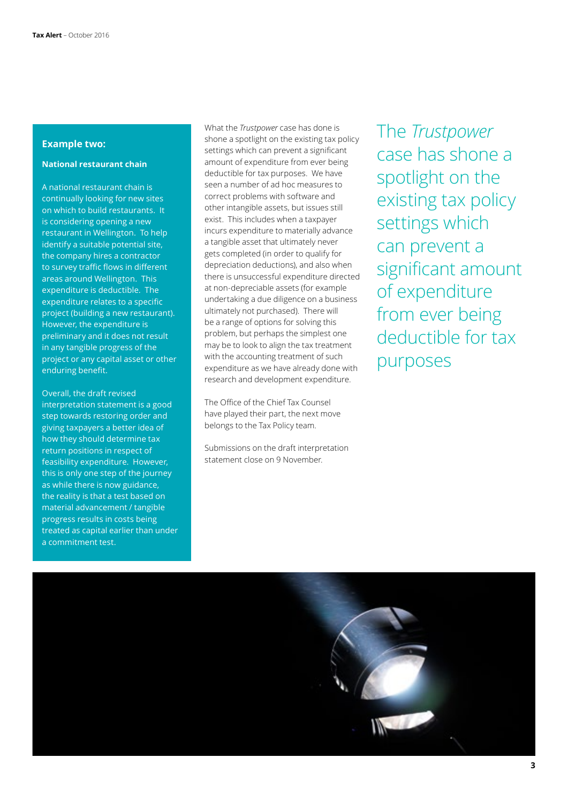#### **Example two:**

#### **National restaurant chain**

A national restaurant chain is continually looking for new sites on which to build restaurants. It is considering opening a new restaurant in Wellington. To help identify a suitable potential site, the company hires a contractor to survey traffic flows in different areas around Wellington. This expenditure is deductible. The expenditure relates to a specific project (building a new restaurant). However, the expenditure is preliminary and it does not result in any tangible progress of the project or any capital asset or other enduring benefit.

Overall, the draft revised interpretation statement is a good step towards restoring order and giving taxpayers a better idea of how they should determine tax return positions in respect of feasibility expenditure. However, this is only one step of the journey as while there is now guidance, the reality is that a test based on material advancement / tangible progress results in costs being treated as capital earlier than under a commitment test.

What the *Trustpower* case has done is shone a spotlight on the existing tax policy settings which can prevent a significant amount of expenditure from ever being deductible for tax purposes. We have seen a number of ad hoc measures to correct problems with software and other intangible assets, but issues still exist. This includes when a taxpayer incurs expenditure to materially advance a tangible asset that ultimately never gets completed (in order to qualify for depreciation deductions), and also when there is unsuccessful expenditure directed at non-depreciable assets (for example undertaking a due diligence on a business ultimately not purchased). There will be a range of options for solving this problem, but perhaps the simplest one may be to look to align the tax treatment with the accounting treatment of such expenditure as we have already done with research and development expenditure.

The Office of the Chief Tax Counsel have played their part, the next move belongs to the Tax Policy team.

Submissions on the draft interpretation statement close on 9 November.

The *Trustpower* case has shone a spotlight on the existing tax policy settings which can prevent a significant amount of expenditure from ever being deductible for tax purposes

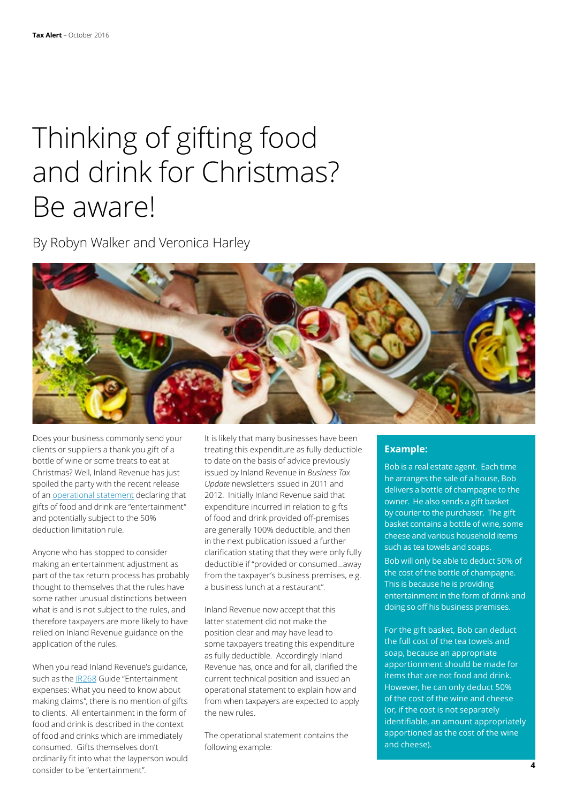## Thinking of gifting food and drink for Christmas? Be aware!

By Robyn Walker and Veronica Harley



Does your business commonly send your clients or suppliers a thank you gift of a bottle of wine or some treats to eat at Christmas? Well, Inland Revenue has just spoiled the party with the recent release of an [operational statement](http://www.ird.govt.nz/technical-tax/op-positions/op-position-deduct-expend-food-drink-gifts.html) declaring that gifts of food and drink are "entertainment" and potentially subject to the 50% deduction limitation rule.

Anyone who has stopped to consider making an entertainment adjustment as part of the tax return process has probably thought to themselves that the rules have some rather unusual distinctions between what is and is not subject to the rules, and therefore taxpayers are more likely to have relied on Inland Revenue guidance on the application of the rules.

When you read Inland Revenue's guidance, such as the [IR268](http://www.ird.govt.nz/resources/6/0/60a4080e-340d-4a91-8fe0-ab911832707b/ir268.pdf) Guide "Entertainment expenses: What you need to know about making claims", there is no mention of gifts to clients. All entertainment in the form of food and drink is described in the context of food and drinks which are immediately consumed. Gifts themselves don't ordinarily fit into what the layperson would consider to be "entertainment".

It is likely that many businesses have been treating this expenditure as fully deductible to date on the basis of advice previously issued by Inland Revenue in *Business Tax Update* newsletters issued in 2011 and 2012. Initially Inland Revenue said that expenditure incurred in relation to gifts of food and drink provided off-premises are generally 100% deductible, and then in the next publication issued a further clarification stating that they were only fully deductible if "provided or consumed…away from the taxpayer's business premises, e.g. a business lunch at a restaurant".

Inland Revenue now accept that this latter statement did not make the position clear and may have lead to some taxpayers treating this expenditure as fully deductible. Accordingly Inland Revenue has, once and for all, clarified the current technical position and issued an operational statement to explain how and from when taxpayers are expected to apply the new rules.

The operational statement contains the following example:

### **Example:**

Bob is a real estate agent. Each time he arranges the sale of a house, Bob delivers a bottle of champagne to the owner. He also sends a gift basket by courier to the purchaser. The gift basket contains a bottle of wine, some cheese and various household items such as tea towels and soaps.

Bob will only be able to deduct 50% of the cost of the bottle of champagne. This is because he is providing entertainment in the form of drink and doing so off his business premises.

For the gift basket, Bob can deduct the full cost of the tea towels and soap, because an appropriate apportionment should be made for items that are not food and drink. However, he can only deduct 50% of the cost of the wine and cheese (or, if the cost is not separately identifiable, an amount appropriately apportioned as the cost of the wine and cheese).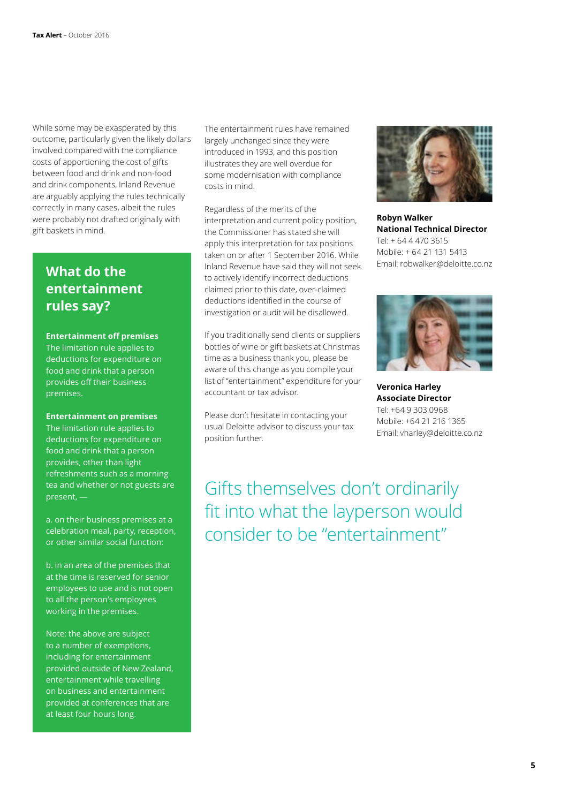While some may be exasperated by this outcome, particularly given the likely dollars involved compared with the compliance costs of apportioning the cost of gifts between food and drink and non-food and drink components, Inland Revenue are arguably applying the rules technically correctly in many cases, albeit the rules were probably not drafted originally with gift baskets in mind.

### **What do the entertainment rules say?**

#### **Entertainment off premises**

The limitation rule applies to deductions for expenditure on food and drink that a person provides off their business premises.

#### **Entertainment on premises**

The limitation rule applies to deductions for expenditure on food and drink that a person provides, other than light refreshments such as a morning tea and whether or not guests are present, —

a. on their business premises at a celebration meal, party, reception, or other similar social function:

b. in an area of the premises that at the time is reserved for senior employees to use and is not open to all the person's employees working in the premises.

Note: the above are subject to a number of exemptions, including for entertainment provided outside of New Zealand, entertainment while travelling on business and entertainment provided at conferences that are at least four hours long.

The entertainment rules have remained largely unchanged since they were introduced in 1993, and this position illustrates they are well overdue for some modernisation with compliance costs in mind.

Regardless of the merits of the interpretation and current policy position, the Commissioner has stated she will apply this interpretation for tax positions taken on or after 1 September 2016. While Inland Revenue have said they will not seek to actively identify incorrect deductions claimed prior to this date, over-claimed deductions identified in the course of investigation or audit will be disallowed.

If you traditionally send clients or suppliers bottles of wine or gift baskets at Christmas time as a business thank you, please be aware of this change as you compile your list of "entertainment" expenditure for your accountant or tax advisor.

Please don't hesitate in contacting your usual Deloitte advisor to discuss your tax position further.



**Robyn Walker National Technical Director** Tel: + 64 4 470 3615 Mobile: + 64 21 131 5413 Email: robwalker@deloitte.co.nz



**Veronica Harley Associate Director** Tel: +64 9 303 0968 Mobile: +64 21 216 1365 Email: vharley@deloitte.co.nz

Gifts themselves don't ordinarily fit into what the layperson would consider to be "entertainment"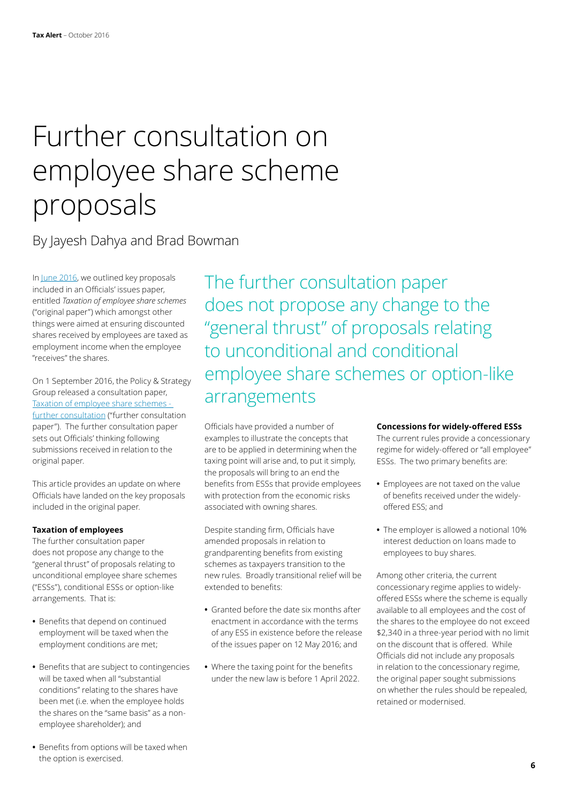## Further consultation on employee share scheme proposals

### By Jayesh Dahya and Brad Bowman

In [June 2016,](http://www.taxathand.com/article/1928/New-Zealand/2016/Capital-gains-tax-on-shares-IR-proposes-changes-to-Employee-Share-Schemes) we outlined key proposals included in an Officials' issues paper, entitled *Taxation of employee share schemes* ("original paper") which amongst other things were aimed at ensuring discounted shares received by employees are taxed as employment income when the employee "receives" the shares.

On 1 September 2016, the Policy & Strategy Group released a consultation paper, [Taxation of employee share schemes](http://taxpolicy.ird.govt.nz/publications/2016-ip-employee-share-schemes-update/overview)  [further consultation](http://taxpolicy.ird.govt.nz/publications/2016-ip-employee-share-schemes-update/overview) ("further consultation paper"). The further consultation paper sets out Officials' thinking following submissions received in relation to the original paper.

This article provides an update on where Officials have landed on the key proposals included in the original paper.

#### **Taxation of employees**

The further consultation paper does not propose any change to the "general thrust" of proposals relating to unconditional employee share schemes ("ESSs"), conditional ESSs or option-like arrangements. That is:

- **•** Benefits that depend on continued employment will be taxed when the employment conditions are met;
- **•** Benefits that are subject to contingencies will be taxed when all "substantial conditions" relating to the shares have been met (i.e. when the employee holds the shares on the "same basis" as a nonemployee shareholder); and
- **•** Benefits from options will be taxed when the option is exercised.

The further consultation paper does not propose any change to the "general thrust" of proposals relating to unconditional and conditional employee share schemes or option-like arrangements

Officials have provided a number of examples to illustrate the concepts that are to be applied in determining when the taxing point will arise and, to put it simply, the proposals will bring to an end the benefits from ESSs that provide employees with protection from the economic risks associated with owning shares.

Despite standing firm, Officials have amended proposals in relation to grandparenting benefits from existing schemes as taxpayers transition to the new rules. Broadly transitional relief will be extended to benefits:

- **•** Granted before the date six months after enactment in accordance with the terms of any ESS in existence before the release of the issues paper on 12 May 2016; and
- **•** Where the taxing point for the benefits under the new law is before 1 April 2022.

#### **Concessions for widely-offered ESSs**

The current rules provide a concessionary regime for widely-offered or "all employee" ESSs. The two primary benefits are:

- **•** Employees are not taxed on the value of benefits received under the widelyoffered ESS; and
- **•** The employer is allowed a notional 10% interest deduction on loans made to employees to buy shares.

Among other criteria, the current concessionary regime applies to widelyoffered ESSs where the scheme is equally available to all employees and the cost of the shares to the employee do not exceed \$2,340 in a three-year period with no limit on the discount that is offered. While Officials did not include any proposals in relation to the concessionary regime, the original paper sought submissions on whether the rules should be repealed, retained or modernised.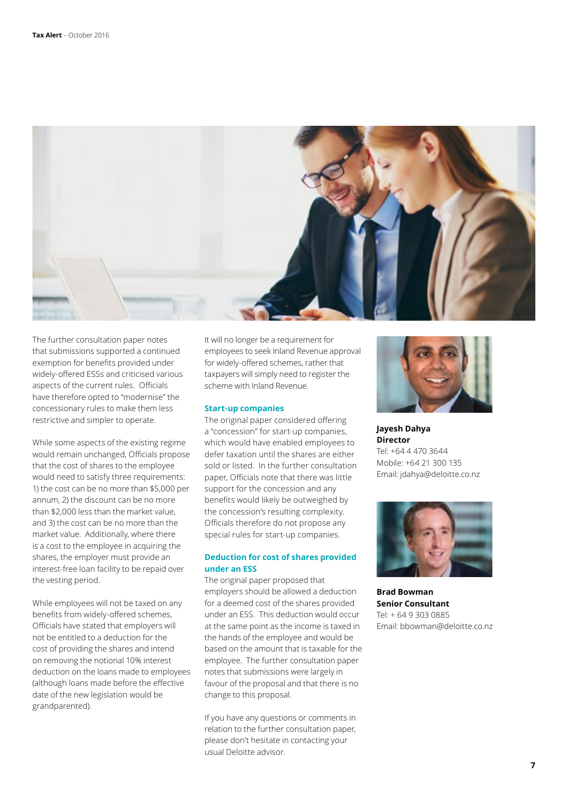

The further consultation paper notes that submissions supported a continued exemption for benefits provided under widely-offered ESSs and criticised various aspects of the current rules. Officials have therefore opted to "modernise" the concessionary rules to make them less restrictive and simpler to operate.

While some aspects of the existing regime would remain unchanged, Officials propose that the cost of shares to the employee would need to satisfy three requirements: 1) the cost can be no more than \$5,000 per annum, 2) the discount can be no more than \$2,000 less than the market value, and 3) the cost can be no more than the market value. Additionally, where there is a cost to the employee in acquiring the shares, the employer must provide an interest-free loan facility to be repaid over the vesting period.

While employees will not be taxed on any benefits from widely-offered schemes, Officials have stated that employers will not be entitled to a deduction for the cost of providing the shares and intend on removing the notional 10% interest deduction on the loans made to employees (although loans made before the effective date of the new legislation would be grandparented).

It will no longer be a requirement for employees to seek Inland Revenue approval for widely-offered schemes, rather that taxpayers will simply need to register the scheme with Inland Revenue.

#### **Start-up companies**

The original paper considered offering a "concession" for start-up companies, which would have enabled employees to defer taxation until the shares are either sold or listed. In the further consultation paper, Officials note that there was little support for the concession and any benefits would likely be outweighed by the concession's resulting complexity. Officials therefore do not propose any special rules for start-up companies.

#### **Deduction for cost of shares provided under an ESS**

The original paper proposed that employers should be allowed a deduction for a deemed cost of the shares provided under an ESS. This deduction would occur at the same point as the income is taxed in the hands of the employee and would be based on the amount that is taxable for the employee. The further consultation paper notes that submissions were largely in favour of the proposal and that there is no change to this proposal.

If you have any questions or comments in relation to the further consultation paper, please don't hesitate in contacting your usual Deloitte advisor.



**Jayesh Dahya Director** Tel: +64 4 470 3644 Mobile: +64 21 300 135 Email: jdahya@deloitte.co.nz



**Brad Bowman Senior Consultant** Tel: + 64 9 303 0885 Email: bbowman@deloitte.co.nz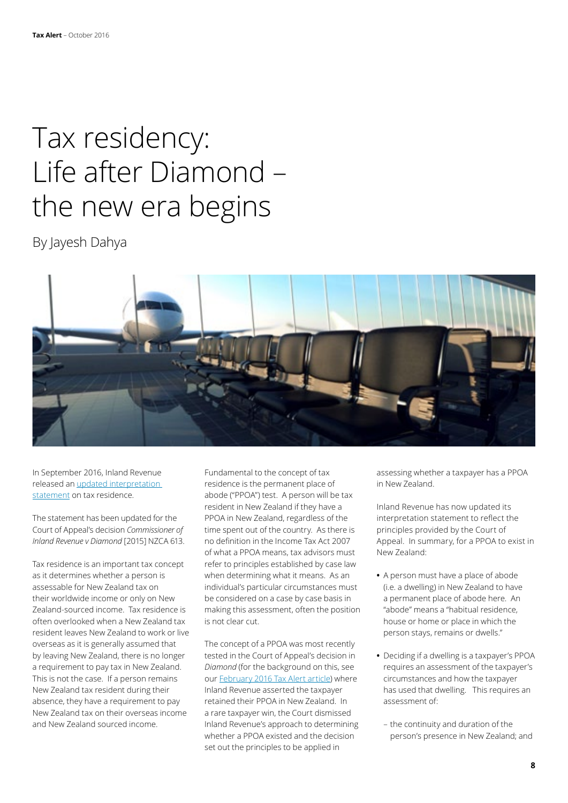## Tax residency: Life after Diamond – the new era begins

By Jayesh Dahya



In September 2016, Inland Revenue released an [updated interpretation](http://www.ird.govt.nz/resources/9/2/9227e1f5-aaac-4bab-8bf1-5ef527fd4441/IS+1603.pdf)  [statement](http://www.ird.govt.nz/resources/9/2/9227e1f5-aaac-4bab-8bf1-5ef527fd4441/IS+1603.pdf) on tax residence.

The statement has been updated for the Court of Appeal's decision *Commissioner of Inland Revenue v Diamond* [2015] NZCA 613.

Tax residence is an important tax concept as it determines whether a person is assessable for New Zealand tax on their worldwide income or only on New Zealand-sourced income. Tax residence is often overlooked when a New Zealand tax resident leaves New Zealand to work or live overseas as it is generally assumed that by leaving New Zealand, there is no longer a requirement to pay tax in New Zealand. This is not the case. If a person remains New Zealand tax resident during their absence, they have a requirement to pay New Zealand tax on their overseas income and New Zealand sourced income.

Fundamental to the concept of tax residence is the permanent place of abode ("PPOA") test. A person will be tax resident in New Zealand if they have a PPOA in New Zealand, regardless of the time spent out of the country. As there is no definition in the Income Tax Act 2007 of what a PPOA means, tax advisors must refer to principles established by case law when determining what it means. As an individual's particular circumstances must be considered on a case by case basis in making this assessment, often the position is not clear cut.

The concept of a PPOA was most recently tested in the Court of Appeal's decision in *Diamond* (for the background on this, see our [February 2016 Tax Alert article](http://www2.deloitte.com/nz/en/pages/tax-alerts/articles/taxpayer-wins-important-residency-case-against-inland-revenue.html)) where Inland Revenue asserted the taxpayer retained their PPOA in New Zealand. In a rare taxpayer win, the Court dismissed Inland Revenue's approach to determining whether a PPOA existed and the decision set out the principles to be applied in

assessing whether a taxpayer has a PPOA in New Zealand.

Inland Revenue has now updated its interpretation statement to reflect the principles provided by the Court of Appeal. In summary, for a PPOA to exist in New Zealand:

- **•** A person must have a place of abode (i.e. a dwelling) in New Zealand to have a permanent place of abode here. An "abode" means a "habitual residence, house or home or place in which the person stays, remains or dwells."
- **•** Deciding if a dwelling is a taxpayer's PPOA requires an assessment of the taxpayer's circumstances and how the taxpayer has used that dwelling. This requires an assessment of:
- the continuity and duration of the person's presence in New Zealand; and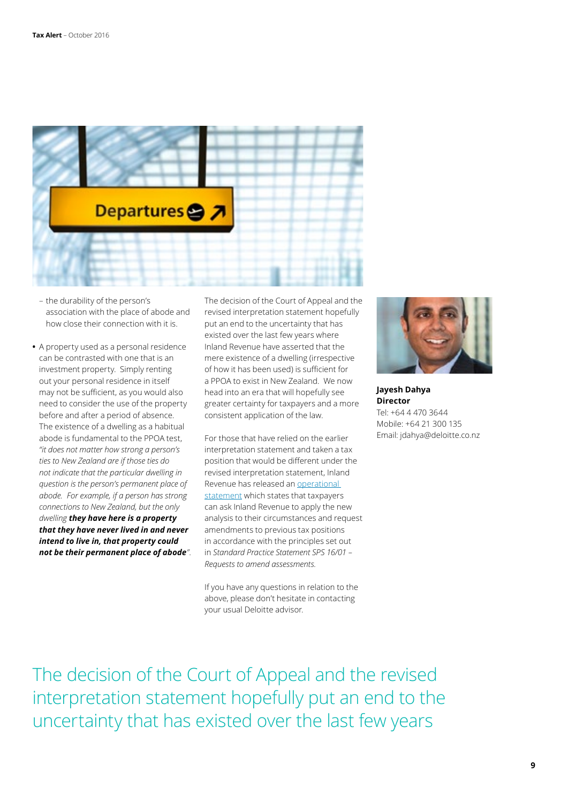

- the durability of the person's association with the place of abode and how close their connection with it is.
- **•** A property used as a personal residence can be contrasted with one that is an investment property. Simply renting out your personal residence in itself may not be sufficient, as you would also need to consider the use of the property before and after a period of absence. The existence of a dwelling as a habitual abode is fundamental to the PPOA test, *"it does not matter how strong a person's ties to New Zealand are if those ties do not indicate that the particular dwelling in question is the person's permanent place of abode. For example, if a person has strong connections to New Zealand, but the only dwelling they have here is a property that they have never lived in and never intend to live in, that property could not be their permanent place of abode"*.

The decision of the Court of Appeal and the revised interpretation statement hopefully put an end to the uncertainty that has existed over the last few years where Inland Revenue have asserted that the mere existence of a dwelling (irrespective of how it has been used) is sufficient for a PPOA to exist in New Zealand. We now head into an era that will hopefully see greater certainty for taxpayers and a more consistent application of the law.

For those that have relied on the earlier interpretation statement and taken a tax position that would be different under the revised interpretation statement, Inland Revenue has released an [operational](http://www.ird.govt.nz/technical-tax/op-positions/op-position-tax-residence.html)  [statement](http://www.ird.govt.nz/technical-tax/op-positions/op-position-tax-residence.html) which states that taxpayers can ask Inland Revenue to apply the new analysis to their circumstances and request amendments to previous tax positions in accordance with the principles set out in *Standard Practice Statement SPS 16/01 – Requests to amend assessments.*

If you have any questions in relation to the above, please don't hesitate in contacting your usual Deloitte advisor.



**Jayesh Dahya Director** Tel: +64 4 470 3644 Mobile: +64 21 300 135 Email: jdahya@deloitte.co.nz

The decision of the Court of Appeal and the revised interpretation statement hopefully put an end to the uncertainty that has existed over the last few years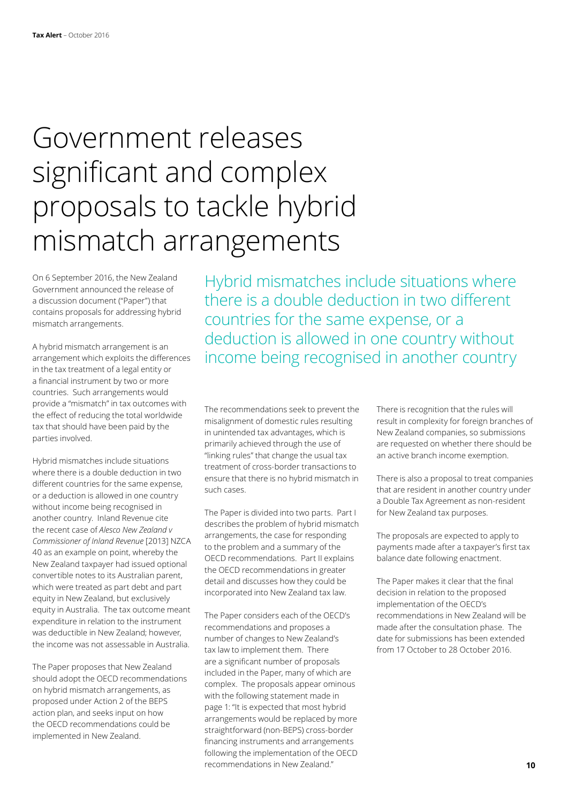## Government releases significant and complex proposals to tackle hybrid mismatch arrangements

On 6 September 2016, the New Zealand Government announced the release of a discussion document ("Paper") that contains proposals for addressing hybrid mismatch arrangements.

A hybrid mismatch arrangement is an arrangement which exploits the differences in the tax treatment of a legal entity or a financial instrument by two or more countries. Such arrangements would provide a "mismatch" in tax outcomes with the effect of reducing the total worldwide tax that should have been paid by the parties involved.

Hybrid mismatches include situations where there is a double deduction in two different countries for the same expense, or a deduction is allowed in one country without income being recognised in another country. Inland Revenue cite the recent case of *Alesco New Zealand v Commissioner of Inland Revenue* [2013] NZCA 40 as an example on point, whereby the New Zealand taxpayer had issued optional convertible notes to its Australian parent, which were treated as part debt and part equity in New Zealand, but exclusively equity in Australia. The tax outcome meant expenditure in relation to the instrument was deductible in New Zealand; however, the income was not assessable in Australia.

The Paper proposes that New Zealand should adopt the OECD recommendations on hybrid mismatch arrangements, as proposed under Action 2 of the BEPS action plan, and seeks input on how the OECD recommendations could be implemented in New Zealand.

Hybrid mismatches include situations where there is a double deduction in two different countries for the same expense, or a deduction is allowed in one country without income being recognised in another country

The recommendations seek to prevent the misalignment of domestic rules resulting in unintended tax advantages, which is primarily achieved through the use of "linking rules" that change the usual tax treatment of cross-border transactions to ensure that there is no hybrid mismatch in such cases.

The Paper is divided into two parts. Part I describes the problem of hybrid mismatch arrangements, the case for responding to the problem and a summary of the OECD recommendations. Part II explains the OECD recommendations in greater detail and discusses how they could be incorporated into New Zealand tax law.

The Paper considers each of the OECD's recommendations and proposes a number of changes to New Zealand's tax law to implement them. There are a significant number of proposals included in the Paper, many of which are complex. The proposals appear ominous with the following statement made in page 1: "It is expected that most hybrid arrangements would be replaced by more straightforward (non-BEPS) cross-border financing instruments and arrangements following the implementation of the OECD recommendations in New Zealand."

There is recognition that the rules will result in complexity for foreign branches of New Zealand companies, so submissions are requested on whether there should be an active branch income exemption.

There is also a proposal to treat companies that are resident in another country under a Double Tax Agreement as non-resident for New Zealand tax purposes.

The proposals are expected to apply to payments made after a taxpayer's first tax balance date following enactment.

The Paper makes it clear that the final decision in relation to the proposed implementation of the OECD's recommendations in New Zealand will be made after the consultation phase. The date for submissions has been extended from 17 October to 28 October 2016.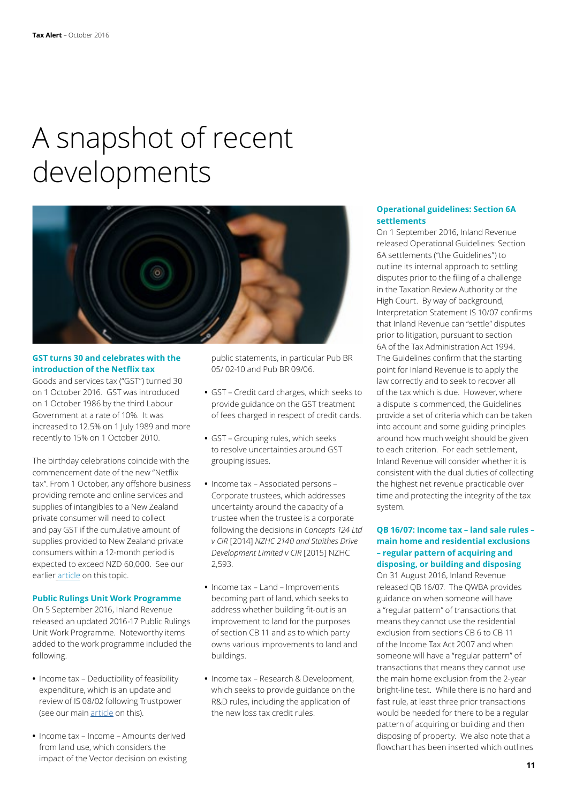## A snapshot of recent developments



#### **GST turns 30 and celebrates with the introduction of the Netflix tax**

Goods and services tax ("GST") turned 30 on 1 October 2016. GST was introduced on 1 October 1986 by the third Labour Government at a rate of 10%. It was increased to 12.5% on 1 July 1989 and more recently to 15% on 1 October 2010.

The birthday celebrations coincide with the commencement date of the new "Netflix tax". From 1 October, any offshore business providing remote and online services and supplies of intangibles to a New Zealand private consumer will need to collect and pay GST if the cumulative amount of supplies provided to New Zealand private consumers within a 12-month period is expected to exceed NZD 60,000. See our earlier [article](http://www2.deloitte.com/nz/en/pages/tax-alerts/articles/gst-on-remote-services.html) on this topic.

#### **Public Rulings Unit Work Programme**

On 5 September 2016, Inland Revenue released an updated 2016-17 Public Rulings Unit Work Programme. Noteworthy items added to the work programme included the following.

- **•** Income tax Deductibility of feasibility expenditure, which is an update and review of IS 08/02 following Trustpower (see our mai[n article](#page-0-0) on this).
- **•** Income tax Income Amounts derived from land use, which considers the impact of the Vector decision on existing

public statements, in particular Pub BR 05/ 02-10 and Pub BR 09/06.

- **•** GST Credit card charges, which seeks to provide guidance on the GST treatment of fees charged in respect of credit cards.
- **•** GST Grouping rules, which seeks to resolve uncertainties around GST grouping issues.
- **•** Income tax Associated persons Corporate trustees, which addresses uncertainty around the capacity of a trustee when the trustee is a corporate following the decisions in *Concepts 124 Ltd v CIR* [2014] *NZHC 2140 and Staithes Drive Development Limited v CIR* [2015] NZHC 2,593.
- **•** Income tax Land Improvements becoming part of land, which seeks to address whether building fit-out is an improvement to land for the purposes of section CB 11 and as to which party owns various improvements to land and buildings.
- **•** Income tax Research & Development, which seeks to provide guidance on the R&D rules, including the application of the new loss tax credit rules.

#### **Operational guidelines: Section 6A settlements**

On 1 September 2016, Inland Revenue released Operational Guidelines: Section 6A settlements ("the Guidelines") to outline its internal approach to settling disputes prior to the filing of a challenge in the Taxation Review Authority or the High Court. By way of background, Interpretation Statement IS 10/07 confirms that Inland Revenue can "settle" disputes prior to litigation, pursuant to section 6A of the Tax Administration Act 1994. The Guidelines confirm that the starting point for Inland Revenue is to apply the law correctly and to seek to recover all of the tax which is due. However, where a dispute is commenced, the Guidelines provide a set of criteria which can be taken into account and some guiding principles around how much weight should be given to each criterion. For each settlement, Inland Revenue will consider whether it is consistent with the dual duties of collecting the highest net revenue practicable over time and protecting the integrity of the tax system.

#### **QB 16/07: Income tax – land sale rules – main home and residential exclusions – regular pattern of acquiring and disposing, or building and disposing**

On 31 August 2016, Inland Revenue released QB 16/07. The QWBA provides guidance on when someone will have a "regular pattern" of transactions that means they cannot use the residential exclusion from sections CB 6 to CB 11 of the Income Tax Act 2007 and when someone will have a "regular pattern" of transactions that means they cannot use the main home exclusion from the 2-year bright-line test. While there is no hard and fast rule, at least three prior transactions would be needed for there to be a regular pattern of acquiring or building and then disposing of property. We also note that a flowchart has been inserted which outlines